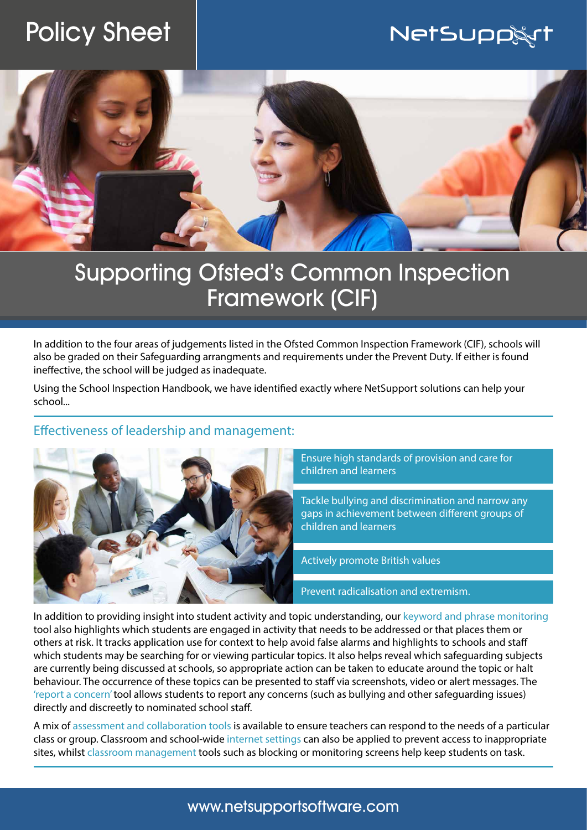# Policy Sheet

## **NetSupp&rt**



# Supporting Ofsted's Common Inspection Framework (CIF)

In addition to the four areas of judgements listed in the Ofsted Common Inspection Framework (CIF), schools will also be graded on their Safeguarding arrangments and requirements under the Prevent Duty. If either is found ineffective, the school will be judged as inadequate.

Using the School Inspection Handbook, we have identified exactly where NetSupport solutions can help your school...

#### Effectiveness of leadership and management:



Ensure high standards of provision and care for children and learners

Tackle bullying and discrimination and narrow any gaps in achievement between different groups of children and learners

Actively promote British values

Prevent radicalisation and extremism.

In addition to providing insight into student activity and topic understanding, our keyword and phrase monitoring tool also highlights which students are engaged in activity that needs to be addressed or that places them or others at risk. It tracks application use for context to help avoid false alarms and highlights to schools and staff which students may be searching for or viewing particular topics. It also helps reveal which safeguarding subjects are currently being discussed at schools, so appropriate action can be taken to educate around the topic or halt behaviour. The occurrence of these topics can be presented to staff via screenshots, video or alert messages. The 'report a concern' tool allows students to report any concerns (such as bullying and other safeguarding issues) directly and discreetly to nominated school staff.

A mix of assessment and collaboration tools is available to ensure teachers can respond to the needs of a particular class or group. Classroom and school-wide internet settings can also be applied to prevent access to inappropriate sites, whilst classroom management tools such as blocking or monitoring screens help keep students on task.

### www.netsupportsoftware.com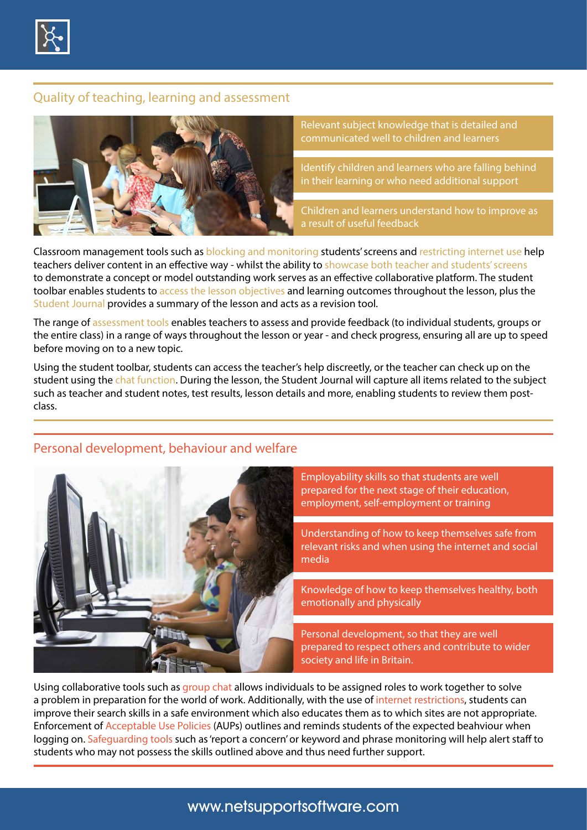

#### Quality of teaching, learning and assessment



Relevant subject knowledge that is detailed and communicated well to children and learners

Identify children and learners who are falling behind in their learning or who need additional support

Children and learners understand how to improve as a result of useful feedback

Classroom management tools such as blocking and monitoring students' screens and restricting internet use help teachers deliver content in an effective way - whilst the ability to showcase both teacher and students' screens to demonstrate a concept or model outstanding work serves as an effective collaborative platform. The student toolbar enables students to access the lesson objectives and learning outcomes throughout the lesson, plus the Student Journal provides a summary of the lesson and acts as a revision tool.

The range of assessment tools enables teachers to assess and provide feedback (to individual students, groups or the entire class) in a range of ways throughout the lesson or year - and check progress, ensuring all are up to speed before moving on to a new topic.

Using the student toolbar, students can access the teacher's help discreetly, or the teacher can check up on the student using the chat function. During the lesson, the Student Journal will capture all items related to the subject such as teacher and student notes, test results, lesson details and more, enabling students to review them postclass.

#### Personal development, behaviour and welfare



Using collaborative tools such as group chat allows individuals to be assigned roles to work together to solve a problem in preparation for the world of work. Additionally, with the use of internet restrictions, students can improve their search skills in a safe environment which also educates them as to which sites are not appropriate. Enforcement of Acceptable Use Policies (AUPs) outlines and reminds students of the expected beahviour when logging on. Safeguarding tools such as 'report a concern' or keyword and phrase monitoring will help alert staff to students who may not possess the skills outlined above and thus need further support.

### www.netsupportsoftware.com